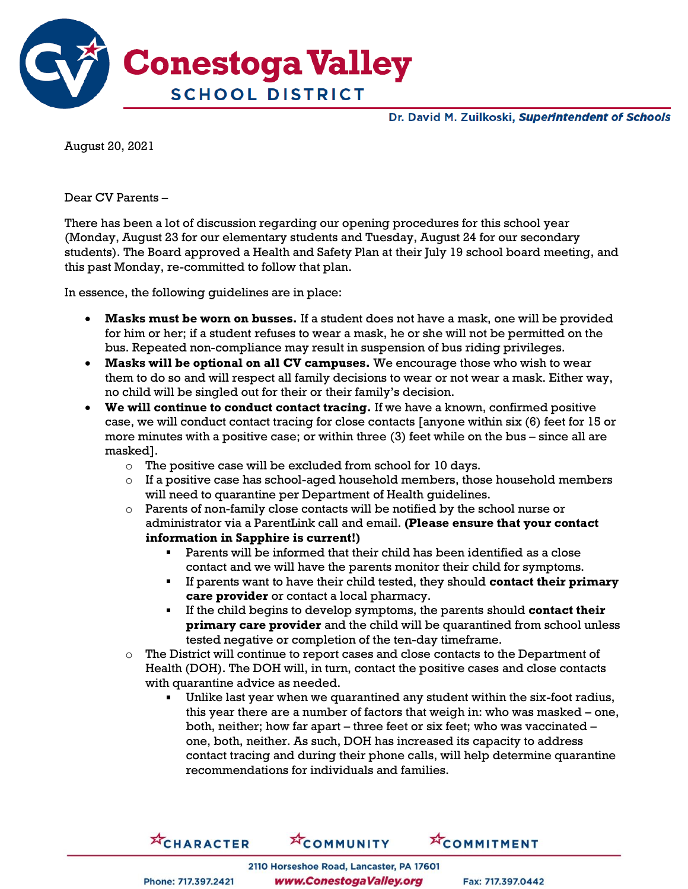

Dr. David M. Zuilkoski, Superintendent of Schools

August 20, 2021

Dear CV Parents –

There has been a lot of discussion regarding our opening procedures for this school year (Monday, August 23 for our elementary students and Tuesday, August 24 for our secondary students). The Board approved a Health and Safety Plan at their July 19 school board meeting, and this past Monday, re-committed to follow that plan.

In essence, the following guidelines are in place:

- **Masks must be worn on busses.** If a student does not have a mask, one will be provided for him or her; if a student refuses to wear a mask, he or she will not be permitted on the bus. Repeated non-compliance may result in suspension of bus riding privileges.
- **Masks will be optional on all CV campuses.** We encourage those who wish to wear them to do so and will respect all family decisions to wear or not wear a mask. Either way, no child will be singled out for their or their family's decision.
- **We will continue to conduct contact tracing.** If we have a known, confirmed positive case, we will conduct contact tracing for close contacts [anyone within six (6) feet for 15 or more minutes with a positive case; or within three (3) feet while on the bus – since all are masked].
	- o The positive case will be excluded from school for 10 days.
	- $\circ$  If a positive case has school-aged household members, those household members will need to quarantine per Department of Health guidelines.
	- $\circ$  Parents of non-family close contacts will be notified by the school nurse or administrator via a ParentLink call and email. **(Please ensure that your contact information in Sapphire is current!)**
		- Parents will be informed that their child has been identified as a close contact and we will have the parents monitor their child for symptoms.
		- If parents want to have their child tested, they should **contact their primary care provider** or contact a local pharmacy.
		- If the child begins to develop symptoms, the parents should **contact their primary care provider** and the child will be quarantined from school unless tested negative or completion of the ten-day timeframe.
	- The District will continue to report cases and close contacts to the Department of Health (DOH). The DOH will, in turn, contact the positive cases and close contacts with quarantine advice as needed.
		- Unlike last year when we quarantined any student within the six-foot radius, this year there are a number of factors that weigh in: who was masked – one, both, neither; how far apart – three feet or six feet; who was vaccinated – one, both, neither. As such, DOH has increased its capacity to address contact tracing and during their phone calls, will help determine quarantine recommendations for individuals and families.

**ACHARACTER XCOMMUNITY XCOMMITMENT** 

Phone: 717.397.2421

2110 Horseshoe Road, Lancaster, PA 17601 www.ConestogaValley.org

Fax: 717.397.0442